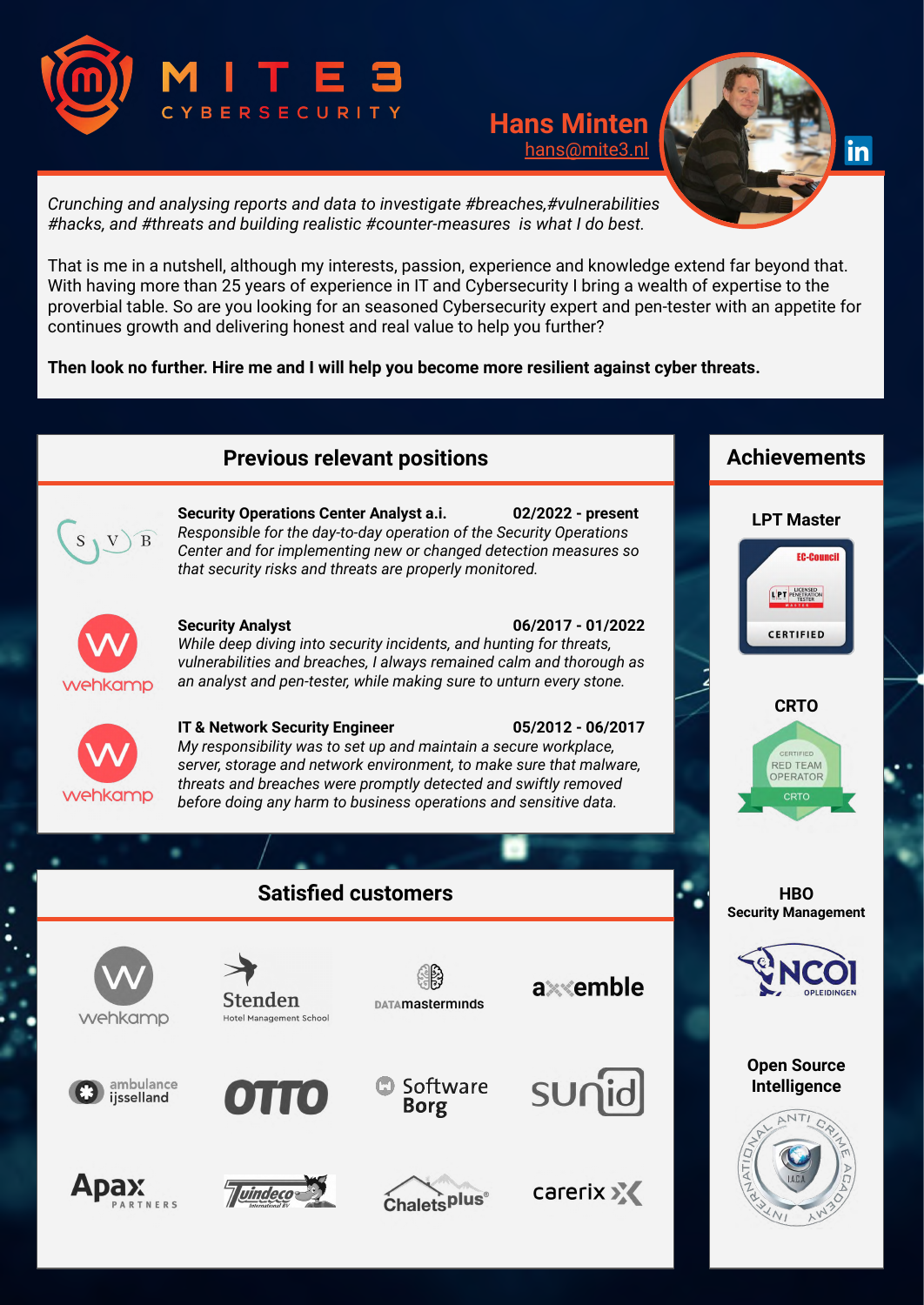

## **Hans Minten** [hans@mite3.nl](mailto:hans@mite3.nl)



*Crunching and analysing reports and data to investigate #breaches,#vulnerabilities #hacks, and #threats and building realistic #counter-measures is what I do best.*

That is me in a nutshell, although my interests, passion, experience and knowledge extend far beyond that. With having more than 25 years of experience in IT and Cybersecurity I bring a wealth of expertise to the proverbial table. So are you looking for an seasoned Cybersecurity expert and pen-tester with an appetite for continues growth and delivering honest and real value to help you further?

**Then look no further. Hire me and I will help you become more resilient against cyber threats.**

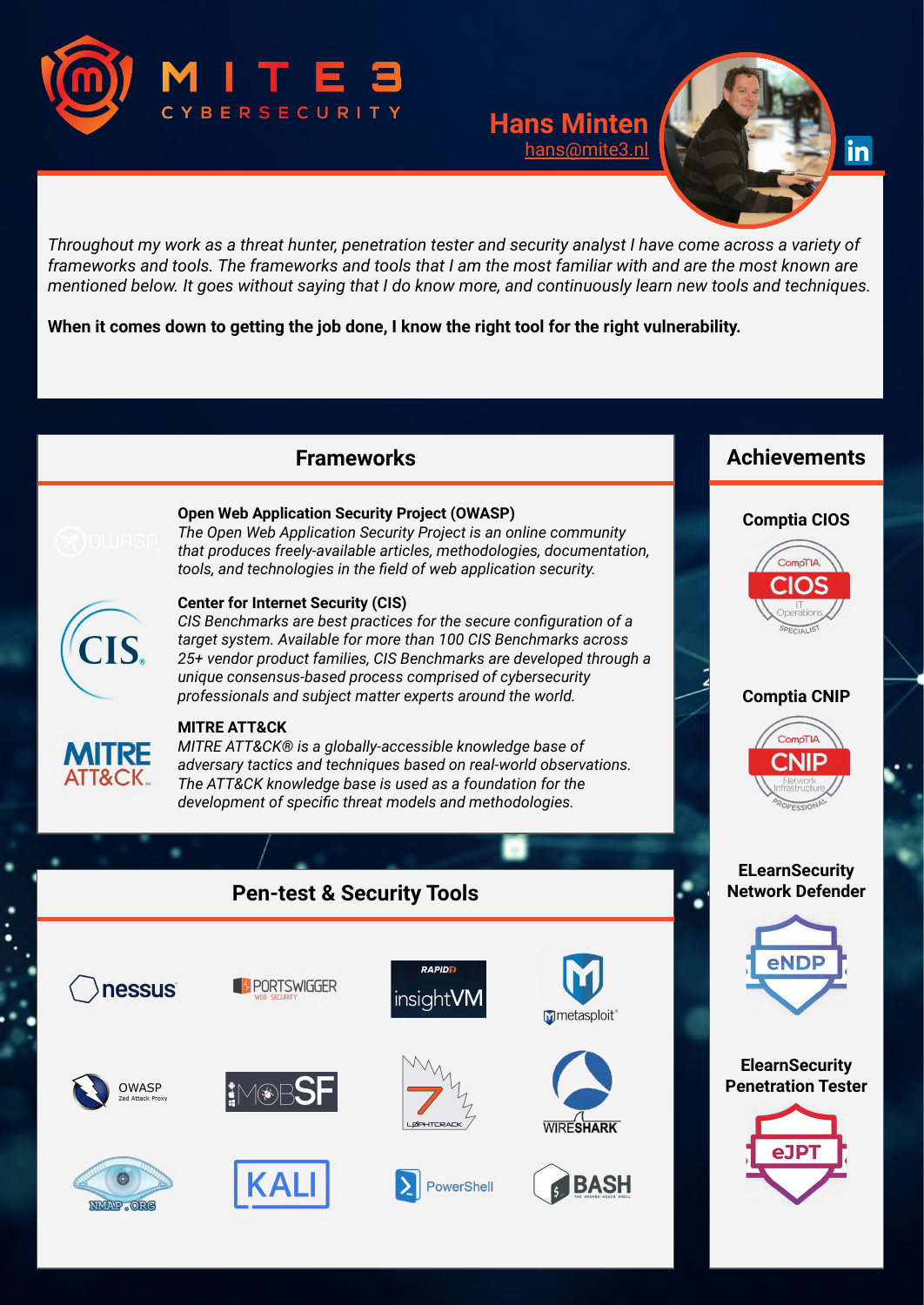

## **Hans Minten** [hans@mite3.nl](mailto:hans@mite3.nl)



Throughout my work as a threat hunter, penetration tester and security analyst I have come across a variety of frameworks and tools. The frameworks and tools that I am the most familiar with and are the most known are mentioned below. It goes without saying that I do know more, and continuously learn new tools and techniques.

**When it comes down to getting the job done, I know the right tool for the right vulnerability.**

## **Frameworks**



#### **Open Web Application Security Project (OWASP)**

*The Open Web Application Security Project is an online community that produces freely-available articles, methodologies, documentation, tools, and technologies in the field of web application security.*

# CIS.

#### **Center for Internet Security (CIS)**

*CIS Benchmarks are best practices for the secure configuration of a target system. Available for more than 100 CIS Benchmarks across 25+ vendor product families, CIS Benchmarks are developed through a unique consensus-based process comprised of cybersecurity professionals and subject matter experts around the world.*



#### **MITRE ATT&CK**

*MITRE ATT&CK® is a globally-accessible knowledge base of adversary tactics and techniques based on real-world observations. The ATT&CK knowledge base is used as a foundation for the development of specific threat models and methodologies.*

# **Pen-test & Security Tools**



## **Achievements**

### **Comptia CIOS**



#### **Comptia CNIP**



#### **ELearnSecurity Network Defender**



#### **ElearnSecurity Penetration Tester**